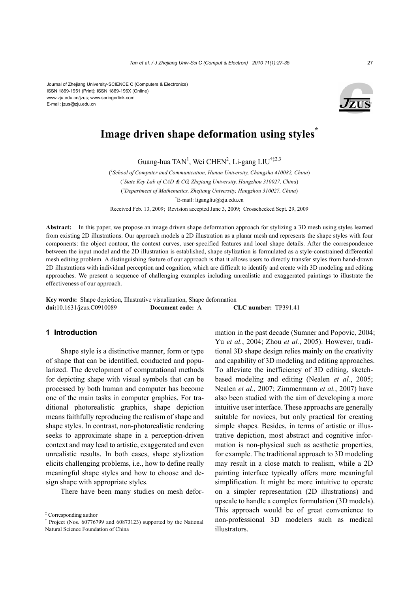

# **Image driven shape deformation using styles\***

Guang-hua TAN<sup>1</sup>, Wei CHEN<sup>2</sup>, Li-gang LIU<sup>†‡2,3</sup>

( *1 School of Computer and Communication, Hunan University, Changsha 410082, China*) ( *2 State Key Lab of CAD & CG, Zhejiang University, Hangzhou 310027, China*) ( *3 Department of Mathematics, Zhejiang University, Hangzhou 310027, China*) † E-mail: ligangliu@zju.edu.cn

Received Feb. 13, 2009; Revision accepted June 3, 2009; Crosschecked Sept. 29, 2009

**Abstract:** In this paper, we propose an image driven shape deformation approach for stylizing a 3D mesh using styles learned from existing 2D illustrations. Our approach models a 2D illustration as a planar mesh and represents the shape styles with four components: the object contour, the context curves, user-specified features and local shape details. After the correspondence between the input model and the 2D illustration is established, shape stylization is formulated as a style-constrained differential mesh editing problem. A distinguishing feature of our approach is that it allows users to directly transfer styles from hand-drawn 2D illustrations with individual perception and cognition, which are difficult to identify and create with 3D modeling and editing approaches. We present a sequence of challenging examples including unrealistic and exaggerated paintings to illustrate the effectiveness of our approach.

**Key words:** Shape depiction, Illustrative visualization, Shape deformation **doi:**10.1631/jzus.C0910089 **Document code:** A **CLC number:** TP391.41

# **1 Introduction**

Shape style is a distinctive manner, form or type of shape that can be identified, conducted and popularized. The development of computational methods for depicting shape with visual symbols that can be processed by both human and computer has become one of the main tasks in computer graphics. For traditional photorealistic graphics, shape depiction means faithfully reproducing the realism of shape and shape styles. In contrast, non-photorealistic rendering seeks to approximate shape in a perception-driven context and may lead to artistic, exaggerated and even unrealistic results. In both cases, shape stylization elicits challenging problems, i.e., how to define really meaningful shape styles and how to choose and design shape with appropriate styles.

There have been many studies on mesh defor-

mation in the past decade (Sumner and Popovic, 2004; Yu *et al.*, 2004; Zhou *et al.*, 2005). However, traditional 3D shape design relies mainly on the creativity and capability of 3D modeling and editing approaches. To alleviate the inefficiency of 3D editing, sketchbased modeling and editing (Nealen *et al.*, 2005; Nealen *et al.*, 2007; Zimmermann *et al.*, 2007) have also been studied with the aim of developing a more intuitive user interface. These approachs are generally suitable for novices, but only practical for creating simple shapes. Besides, in terms of artistic or illustrative depiction, most abstract and cognitive information is non-physical such as aesthetic properties, for example. The traditional approach to 3D modeling may result in a close match to realism, while a 2D painting interface typically offers more meaningful simplification. It might be more intuitive to operate on a simpler representation (2D illustrations) and upscale to handle a complex formulation (3D models). This approach would be of great convenience to non-professional 3D modelers such as medical illustrators.

<sup>‡</sup> Corresponding author

<sup>\*</sup> Project (Nos. 60776799 and 60873123) supported by the National Natural Science Foundation of China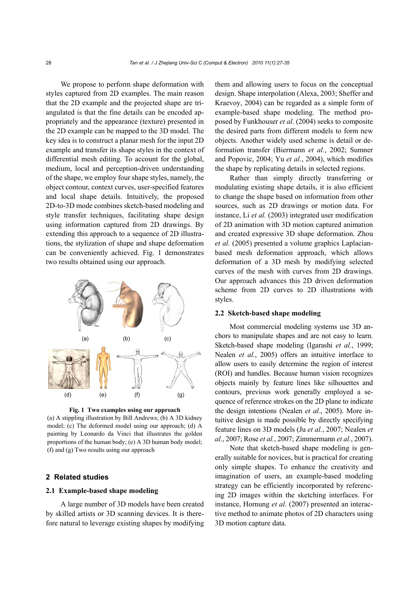We propose to perform shape deformation with styles captured from 2D examples. The main reason that the 2D example and the projected shape are triangulated is that the fine details can be encoded appropriately and the appearance (texture) presented in the 2D example can be mapped to the 3D model. The key idea is to construct a planar mesh for the input 2D example and transfer its shape styles in the context of differential mesh editing. To account for the global, medium, local and perception-driven understanding of the shape, we employ four shape styles, namely, the object contour, context curves, user-specified features and local shape details. Intuitively, the proposed 2D-to-3D mode combines sketch-based modeling and style transfer techniques, facilitating shape design using information captured from 2D drawings. By extending this approach to a sequence of 2D illustrations, the stylization of shape and shape deformation can be conveniently achieved. Fig. 1 demonstrates two results obtained using our approach.



**Fig. 1 Two examples using our approach** 

(a) A stippling illustration by Bill Andrews; (b) A 3D kidney model; (c) The deformed model using our approach; (d) A painting by Leonardo da Vinci that illustrates the golden proportions of the human body; (e) A 3D human body model; (f) and (g) Two results using our approach

#### **2 Related studies**

# **2.1 Example-based shape modeling**

A large number of 3D models have been created by skilled artists or 3D scanning devices. It is therefore natural to leverage existing shapes by modifying them and allowing users to focus on the conceptual design. Shape interpolation (Alexa, 2003; Sheffer and Kraevoy, 2004) can be regarded as a simple form of example-based shape modeling. The method proposed by Funkhouser *et al.* (2004) seeks to composite the desired parts from different models to form new objects. Another widely used scheme is detail or deformation transfer (Biermann *et al.*, 2002; Sumner and Popovic, 2004; Yu *et al.*, 2004), which modifies the shape by replicating details in selected regions.

Rather than simply directly transferring or modulating existing shape details, it is also efficient to change the shape based on information from other sources, such as 2D drawings or motion data. For instance, Li *et al.* (2003) integrated user modification of 2D animation with 3D motion captured animation and created expressive 3D shape deformation. Zhou *et al.* (2005) presented a volume graphics Laplacianbased mesh deformation approach, which allows deformation of a 3D mesh by modifying selected curves of the mesh with curves from 2D drawings. Our approach advances this 2D driven deformation scheme from 2D curves to 2D illustrations with styles.

# **2.2 Sketch-based shape modeling**

Most commercial modeling systems use 3D anchors to manipulate shapes and are not easy to learn. Sketch-based shape modeling (Igarashi *et al.*, 1999; Nealen *et al.*, 2005) offers an intuitive interface to allow users to easily determine the region of interest (ROI) and handles. Because human vision recognizes objects mainly by feature lines like silhouettes and contours, previous work generally employed a sequence of reference strokes on the 2D plane to indicate the design intentions (Nealen *et al.*, 2005). More intuitive design is made possible by directly specifying feature lines on 3D models (Ju *et al.*, 2007; Nealen *et al.*, 2007; Rose *et al.*, 2007; Zimmermann *et al.*, 2007).

Note that sketch-based shape modeling is generally suitable for novices, but is practical for creating only simple shapes. To enhance the creativity and imagination of users, an example-based modeling strategy can be efficiently incorporated by referencing 2D images within the sketching interfaces. For instance, Hornung *et al*. (2007) presented an interactive method to animate photos of 2D characters using 3D motion capture data.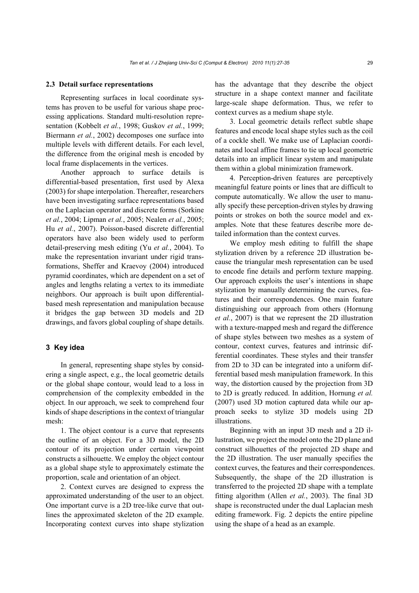#### **2.3 Detail surface representations**

Representing surfaces in local coordinate systems has proven to be useful for various shape processing applications. Standard multi-resolution representation (Kobbelt *et al.*, 1998; Guskov *et al.*, 1999; Biermann *et al.*, 2002) decomposes one surface into multiple levels with different details. For each level, the difference from the original mesh is encoded by local frame displacements in the vertices.

Another approach to surface details is differential-based presentation, first used by Alexa (2003) for shape interpolation. Thereafter, researchers have been investigating surface representations based on the Laplacian operator and discrete forms (Sorkine *et al.*, 2004; Lipman *et al.*, 2005; Nealen *et al.*, 2005; Hu *et al.*, 2007). Poisson-based discrete differential operators have also been widely used to perform detail-preserving mesh editing (Yu *et al.*, 2004). To make the representation invariant under rigid transformations, Sheffer and Kraevoy (2004) introduced pyramid coordinates, which are dependent on a set of angles and lengths relating a vertex to its immediate neighbors. Our approach is built upon differentialbased mesh representation and manipulation because it bridges the gap between 3D models and 2D drawings, and favors global coupling of shape details.

# **3 Key idea**

In general, representing shape styles by considering a single aspect, e.g., the local geometric details or the global shape contour, would lead to a loss in comprehension of the complexity embedded in the object. In our approach, we seek to comprehend four kinds of shape descriptions in the context of triangular mesh:

1. The object contour is a curve that represents the outline of an object. For a 3D model, the 2D contour of its projection under certain viewpoint constructs a silhouette. We employ the object contour as a global shape style to approximately estimate the proportion, scale and orientation of an object.

2. Context curves are designed to express the approximated understanding of the user to an object. One important curve is a 2D tree-like curve that outlines the approximated skeleton of the 2D example. Incorporating context curves into shape stylization has the advantage that they describe the object structure in a shape context manner and facilitate large-scale shape deformation. Thus, we refer to context curves as a medium shape style.

3. Local geometric details reflect subtle shape features and encode local shape styles such as the coil of a cockle shell. We make use of Laplacian coordinates and local affine frames to tie up local geometric details into an implicit linear system and manipulate them within a global minimization framework.

4. Perception-driven features are perceptively meaningful feature points or lines that are difficult to compute automatically. We allow the user to manually specify these perception-driven styles by drawing points or strokes on both the source model and examples. Note that these features describe more detailed information than the context curves.

We employ mesh editing to fulfill the shape stylization driven by a reference 2D illustration because the triangular mesh representation can be used to encode fine details and perform texture mapping. Our approach exploits the user's intentions in shape stylization by manually determining the curves, features and their correspondences. One main feature distinguishing our approach from others (Hornung *et al.*, 2007) is that we represent the 2D illustration with a texture-mapped mesh and regard the difference of shape styles between two meshes as a system of contour, context curves, features and intrinsic differential coordinates. These styles and their transfer from 2D to 3D can be integrated into a uniform differential based mesh manipulation framework. In this way, the distortion caused by the projection from 3D to 2D is greatly reduced. In addition, Hornung *et al.* (2007) used 3D motion captured data while our approach seeks to stylize 3D models using 2D illustrations.

Beginning with an input 3D mesh and a 2D illustration, we project the model onto the 2D plane and construct silhouettes of the projected 2D shape and the 2D illustration. The user manually specifies the context curves, the features and their correspondences. Subsequently, the shape of the 2D illustration is transferred to the projected 2D shape with a template fitting algorithm (Allen *et al.*, 2003). The final 3D shape is reconstructed under the dual Laplacian mesh editing framework. Fig. 2 depicts the entire pipeline using the shape of a head as an example.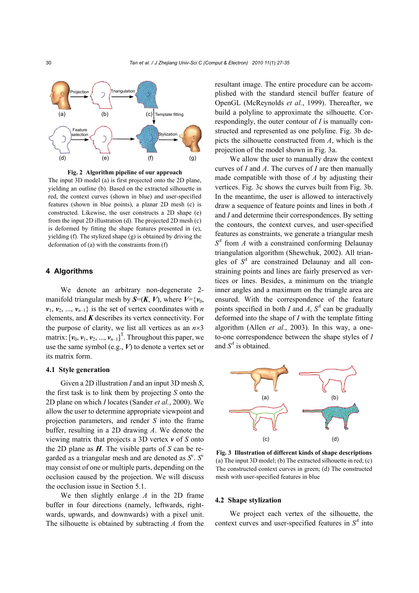

**Fig. 2 Algorithm pipeline of our approach**  The input 3D model (a) is first projected onto the 2D plane, yielding an outline (b). Based on the extracted silhouette in red, the context curves (shown in blue) and user-specified features (shown in blue points), a planar 2D mesh (c) is constructed. Likewise, the user constructs a 2D shape (e) from the input 2D illustration (d). The projected 2D mesh (c) is deformed by fitting the shape features presented in (e), yielding (f). The stylized shape (g) is obtained by driving the deformation of (a) with the constraints from (f)

# **4 Algorithms**

We denote an arbitrary non-degenerate 2 manifold triangular mesh by  $S=(K, V)$ , where  $V=\{v_0,$  $v_1, v_2, ..., v_{n-1}$  is the set of vertex coordinates with *n* elements, and *K* describes its vertex connectivity. For the purpose of clarity, we list all vertices as an  $n \times 3$ matrix:  $[v_0, v_1, v_2, ..., v_{n-1}]$ <sup>T</sup>. Throughout this paper, we use the same symbol (e.g., *V*) to denote a vertex set or its matrix form.

# **4.1 Style generation**

Given a 2D illustration *I* and an input 3D mesh *S*, the first task is to link them by projecting *S* onto the 2D plane on which *I* locates (Sander *et al.*, 2000). We allow the user to determine appropriate viewpoint and projection parameters, and render *S* into the frame buffer, resulting in a 2D drawing *A*. We denote the viewing matrix that projects a 3D vertex *v* of *S* onto the 2D plane as *H*. The visible parts of *S* can be regarded as a triangular mesh and are denoted as *S*<sup>v</sup> . *S*<sup>v</sup> may consist of one or multiple parts, depending on the occlusion caused by the projection. We will discuss the occlusion issue in Section 5.1.

We then slightly enlarge *A* in the 2D frame buffer in four directions (namely, leftwards, rightwards, upwards, and downwards) with a pixel unit. The silhouette is obtained by subtracting *A* from the resultant image. The entire procedure can be accomplished with the standard stencil buffer feature of OpenGL (McReynolds *et al.*, 1999). Thereafter, we build a polyline to approximate the silhouette. Correspondingly, the outer contour of *I* is manually constructed and represented as one polyline. Fig. 3b depicts the silhouette constructed from *A*, which is the projection of the model shown in Fig. 3a.

We allow the user to manually draw the context curves of *I* and *A*. The curves of *I* are then manually made compatible with those of *A* by adjusting their vertices. Fig. 3c shows the curves built from Fig. 3b. In the meantime, the user is allowed to interactively draw a sequence of feature points and lines in both *A* and *I* and determine their correspondences. By setting the contours, the context curves, and user-specified features as constraints, we generate a triangular mesh  $S<sup>4</sup>$  from *A* with a constrained conforming Delaunay triangulation algorithm (Shewchuk, 2002). All triangles of  $S<sup>4</sup>$  are constrained Delaunay and all constraining points and lines are fairly preserved as vertices or lines. Besides, a minimum on the triangle inner angles and a maximum on the triangle area are ensured. With the correspondence of the feature points specified in both *I* and *A*,  $S<sup>4</sup>$  can be gradually deformed into the shape of *I* with the template fitting algorithm (Allen *et al.*, 2003). In this way, a oneto-one correspondence between the shape styles of *I* and  $S<sup>4</sup>$  is obtained.



**Fig. 3 Illustration of different kinds of shape descriptions** (a) The input 3D model; (b) The extracted silhouette in red; (c) The constructed context curves in green; (d) The constructed mesh with user-specified features in blue

# **4.2 Shape stylization**

We project each vertex of the silhouette, the context curves and user-specified features in  $S<sup>4</sup>$  into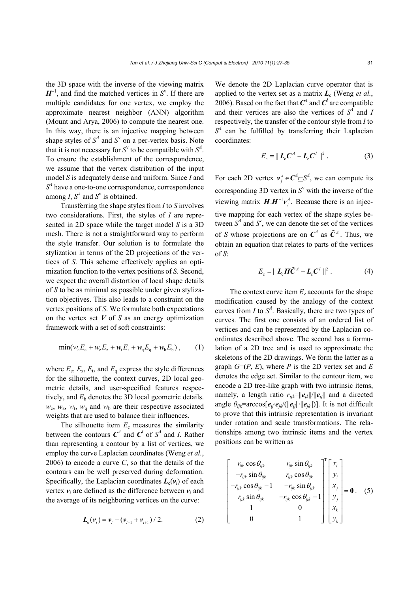the 3D space with the inverse of the viewing matrix  $H^{-1}$ , and find the matched vertices in  $S^v$ . If there are multiple candidates for one vertex, we employ the approximate nearest neighbor (ANN) algorithm (Mount and Arya, 2006) to compute the nearest one. In this way, there is an injective mapping between shape styles of  $S^4$  and  $S^v$  on a per-vertex basis. Note that it is not necessary for  $S^v$  to be compatible with  $S^4$ . To ensure the establishment of the correspondence, we assume that the vertex distribution of the input model *S* is adequately dense and uniform. Since *I* and  $S<sup>4</sup>$  have a one-to-one correspondence, correspondence among *I*,  $S^4$  and  $S^6$  is obtained.

Transferring the shape styles from *I* to *S* involves two considerations. First, the styles of *I* are represented in 2D space while the target model *S* is a 3D mesh. There is not a straightforward way to perform the style transfer. Our solution is to formulate the stylization in terms of the 2D projections of the vertices of *S*. This scheme effectively applies an optimization function to the vertex positions of *S*. Second, we expect the overall distortion of local shape details of *S* to be as minimal as possible under given stylization objectives. This also leads to a constraint on the vertex positions of *S*. We formulate both expectations on the vertex set *V* of *S* as an energy optimization framework with a set of soft constraints:

$$
\min(w_c E_c + w_z E_z + w_t E_t + w_q E_q + w_b E_b), \quad (1)
$$

where  $E_c$ ,  $E_z$ ,  $E_t$ , and  $E_q$  express the style differences for the silhouette, the context curves, 2D local geometric details, and user-specified features respectively, and  $E<sub>b</sub>$  denotes the 3D local geometric details.  $w_c$ ,  $w_z$ ,  $w_t$ ,  $w_a$  and  $w_b$  are their respective associated weights that are used to balance their influences.

The silhouette item  $E_c$  measures the similarity between the contours  $C^4$  and  $C^I$  of  $S^4$  and *I*. Rather than representing a contour by a list of vertices, we employ the curve Laplacian coordinates (Weng *et al.*, 2006) to encode a curve *C*, so that the details of the contours can be well preserved during deformation. Specifically, the Laplacian coordinates  $L_c(v_i)$  of each vertex  $v_i$  are defined as the difference between  $v_i$  and the average of its neighboring vertices on the curve:

$$
L_{c}(v_{i}) = v_{i} - (v_{i-1} + v_{i+1}) / 2.
$$
 (2)

We denote the 2D Laplacian curve operator that is applied to the vertex set as a matrix  $L_c$  (Weng *et al.*, 2006). Based on the fact that  $C^4$  and  $C^I$  are compatible and their vertices are also the vertices of  $S<sup>4</sup>$  and *I* respectively, the transfer of the contour style from *I* to  $S<sup>4</sup>$  can be fulfilled by transferring their Laplacian coordinates:

$$
E_{\rm c} = ||\mathbf{L}_{\rm c} \mathbf{C}^A - \mathbf{L}_{\rm c} \mathbf{C}^I||^2. \tag{3}
$$

For each 2D vertex  $v_j^A \in \mathbb{C}^4 \subseteq S^4$ , we can compute its corresponding  $3D$  vertex in  $S<sup>v</sup>$  with the inverse of the viewing matrix  $\mathbf{H}:\mathbf{H}^{-1}\mathbf{v}^{\mathcal{A}}_{j}$ . Because there is an injective mapping for each vertex of the shape styles between  $S<sup>4</sup>$  and  $S<sup>v</sup>$ , we can denote the set of the vertices of *S* whose projections are on  $C^4$  as  $\tilde{C}^A$ . Thus, we obtain an equation that relates to parts of the vertices of *S*:

$$
E_{\rm c} = ||\mathbf{L}_{\rm c} \mathbf{H} \tilde{\mathbf{C}}^A - \mathbf{L}_{\rm c} \mathbf{C}^I ||^2. \qquad (4)
$$

The context curve item  $E_z$  accounts for the shape modification caused by the analogy of the context curves from *I* to  $S^4$ . Basically, there are two types of curves. The first one consists of an ordered list of vertices and can be represented by the Laplacian coordinates described above. The second has a formulation of a 2D tree and is used to approximate the skeletons of the 2D drawings. We form the latter as a graph  $G=(P, E)$ , where *P* is the 2D vertex set and *E* denotes the edge set. Similar to the contour item, we encode a 2D tree-like graph with two intrinsic items, namely, a length ratio  $r_{ijk} = ||e_{jk}||/||e_{ij}||$  and a directed angle  $\theta_{ijk}$ =arccos[ $e_{ij} \cdot e_{jk}$ /(|| $e_{ij}$ || $\cdot$ || $e_{jk}$ ||)]. It is not difficult to prove that this intrinsic representation is invariant under rotation and scale transformations. The relationships among two intrinsic items and the vertex positions can be written as

$$
\begin{bmatrix}\nr_{ijk}\cos\theta_{ijk} & r_{ijk}\sin\theta_{ijk} \\
-r_{ijk}\sin\theta_{ijk} & r_{ijk}\cos\theta_{ijk} \\
-r_{ijk}\cos\theta_{ijk} - 1 & -r_{ijk}\sin\theta_{ijk} \\
r_{ijk}\sin\theta_{ijk} & -r_{ijk}\cos\theta_{ijk} - 1 \\
1 & 0 & 1\n\end{bmatrix}\n\begin{bmatrix}\nx_i \\
y_i \\
x_j \\
y_j \\
y_j \\
y_k\n\end{bmatrix} = \mathbf{0}. \quad (5)
$$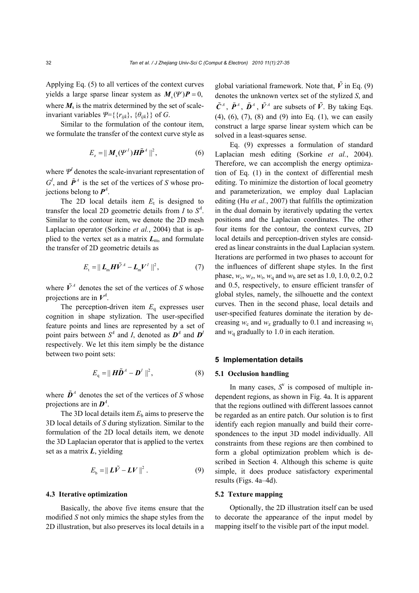Applying Eq. (5) to all vertices of the context curves yields a large sparse linear system as  $M_y(\Psi)P = 0$ , where  $M<sub>s</sub>$  is the matrix determined by the set of scaleinvariant variables  $\Psi = \{ \{r_{ijk}\}, \{ \theta_{ijk} \} \}$  of *G*.

Similar to the formulation of the contour item, we formulate the transfer of the context curve style as

$$
E_z = ||\boldsymbol{M}_s(\boldsymbol{\mathcal{Y}}^I)\boldsymbol{H}\tilde{\boldsymbol{P}}^A||^2, \tag{6}
$$

where  $\Psi^I$  denotes the scale-invariant representation of  $G^I$ , and  $\tilde{P}^A$  is the set of the vertices of *S* whose projections belong to  $P^4$ .

The 2D local details item  $E_t$  is designed to transfer the local 2D geometric details from  $I$  to  $S^4$ . Similar to the contour item, we denote the 2D mesh Laplacian operator (Sorkine *et al.*, 2004) that is applied to the vertex set as a matrix  $L_{\text{m}}$ , and formulate the transfer of 2D geometric details as

$$
E_{\rm t} = ||\mathbf{L}_{\rm m} \mathbf{H} \tilde{\mathbf{V}}^A - \mathbf{L}_{\rm m} \mathbf{V}^I ||^2, \qquad (7)
$$

where  $\tilde{V}^A$  denotes the set of the vertices of *S* whose projections are in  $V^A$ .

The perception-driven item  $E_q$  expresses user cognition in shape stylization. The user-specified feature points and lines are represented by a set of point pairs between  $S^4$  and *I*, denoted as  $D^4$  and  $D^4$ respectively. We let this item simply be the distance between two point sets:

$$
E_{\mathbf{q}} = ||\mathbf{H}\tilde{\mathbf{D}}^A - \mathbf{D}^I||^2, \tag{8}
$$

where  $\tilde{\mathbf{D}}^A$  denotes the set of the vertices of *S* whose projections are in  $\mathbf{D}^4$ .

The 3D local details item  $E<sub>b</sub>$  aims to preserve the 3D local details of *S* during stylization. Similar to the formulation of the 2D local details item, we denote the 3D Laplacian operator that is applied to the vertex set as a matrix *L*, yielding

$$
E_{\rm b} = ||\boldsymbol{L}\tilde{\boldsymbol{V}} - \boldsymbol{L}\boldsymbol{V}||^2. \tag{9}
$$

#### **4.3 Iterative optimization**

Basically, the above five items ensure that the modified *S* not only mimics the shape styles from the 2D illustration, but also preserves its local details in a

global variational framework. Note that,  $\tilde{V}$  in Eq. (9) denotes the unknown vertex set of the stylized *S*, and  $\tilde{C}^A$ ,  $\tilde{P}^A$ ,  $\tilde{D}^A$ ,  $\tilde{V}^A$  are subsets of  $\tilde{V}$ . By taking Eqs. (4), (6), (7), (8) and (9) into Eq. (1), we can easily construct a large sparse linear system which can be solved in a least-squares sense.

Eq. (9) expresses a formulation of standard Laplacian mesh editing (Sorkine *et al.*, 2004). Therefore, we can accomplish the energy optimization of Eq. (1) in the context of differential mesh editing. To minimize the distortion of local geometry and parameterization, we employ dual Laplacian editing (Hu *et al.*, 2007) that fulfills the optimization in the dual domain by iteratively updating the vertex positions and the Laplacian coordinates. The other four items for the contour, the context curves, 2D local details and perception-driven styles are considered as linear constraints in the dual Laplacian system. Iterations are performed in two phases to account for the influences of different shape styles. In the first phase,  $w_c$ ,  $w_z$ ,  $w_t$ ,  $w_a$  and  $w_b$  are set as 1.0, 1.0, 0.2, 0.2 and 0.5, respectively, to ensure efficient transfer of global styles, namely, the silhouette and the context curves. Then in the second phase, local details and user-specified features dominate the iteration by decreasing  $w_c$  and  $w_z$  gradually to 0.1 and increasing  $w_t$ and  $w_q$  gradually to 1.0 in each iteration.

## **5 Implementation details**

#### **5.1 Occlusion handling**

In many cases,  $S<sup>v</sup>$  is composed of multiple independent regions, as shown in Fig. 4a. It is apparent that the regions outlined with different lassoes cannot be regarded as an entire patch. Our solution is to first identify each region manually and build their correspondences to the input 3D model individually. All constraints from these regions are then combined to form a global optimization problem which is described in Section 4. Although this scheme is quite simple, it does produce satisfactory experimental results (Figs. 4a–4d).

## **5.2 Texture mapping**

Optionally, the 2D illustration itself can be used to decorate the appearance of the input model by mapping itself to the visible part of the input model.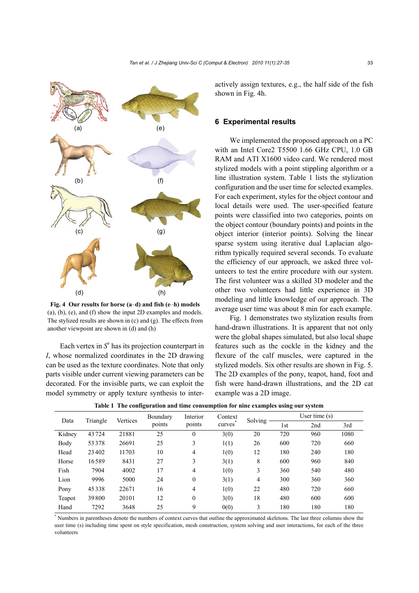

**Fig. 4 Our results for horse (a**–**d) and fish (e**–**h) models** (a), (b), (e), and (f) show the input 2D examples and models. The stylized results are shown in (c) and (g). The effects from another viewpoint are shown in (d) and (h)

Each vertex in  $S<sup>v</sup>$  has its projection counterpart in *I*, whose normalized coordinates in the 2D drawing can be used as the texture coordinates. Note that only parts visible under current viewing parameters can be decorated. For the invisible parts, we can exploit the model symmetry or apply texture synthesis to interactively assign textures, e.g., the half side of the fish shown in Fig. 4h.

### **6 Experimental results**

We implemented the proposed approach on a PC with an Intel Core2 T5500 1.66 GHz CPU, 1.0 GB RAM and ATI X1600 video card. We rendered most stylized models with a point stippling algorithm or a line illustration system. Table 1 lists the stylization configuration and the user time for selected examples. For each experiment, styles for the object contour and local details were used. The user-specified feature points were classified into two categories, points on the object contour (boundary points) and points in the object interior (interior points). Solving the linear sparse system using iterative dual Laplacian algorithm typically required several seconds. To evaluate the efficiency of our approach, we asked three volunteers to test the entire procedure with our system. The first volunteer was a skilled 3D modeler and the other two volunteers had little experience in 3D modeling and little knowledge of our approach. The average user time was about 8 min for each example.

Fig. 1 demonstrates two stylization results from hand-drawn illustrations. It is apparent that not only were the global shapes simulated, but also local shape features such as the cockle in the kidney and the flexure of the calf muscles, were captured in the stylized models. Six other results are shown in Fig. 5. The 2D examples of the pony, teapot, hand, foot and fish were hand-drawn illustrations, and the 2D cat example was a 2D image.

| Data   | Triangle | Vertices | Boundary<br>points | Interior<br>points | Context<br>curves | Solving | User time $(s)$ |     |      |
|--------|----------|----------|--------------------|--------------------|-------------------|---------|-----------------|-----|------|
|        |          |          |                    |                    |                   |         | 1st             | 2nd | 3rd  |
| Kidney | 43724    | 21881    | 25                 | $\mathbf{0}$       | 3(0)              | 20      | 720             | 960 | 1080 |
| Body   | 53378    | 26691    | 25                 | 3                  | 1(1)              | 26      | 600             | 720 | 660  |
| Head   | 23402    | 11703    | 10                 | 4                  | 1(0)              | 12      | 180             | 240 | 180  |
| Horse  | 16589    | 8431     | 27                 | 3                  | 3(1)              | 8       | 600             | 960 | 840  |
| Fish   | 7904     | 4002     | 17                 | 4                  | 1(0)              | 3       | 360             | 540 | 480  |
| Lion   | 9996     | 5000     | 24                 | $\mathbf{0}$       | 3(1)              | 4       | 300             | 360 | 360  |
| Pony   | 45338    | 22671    | 16                 | $\overline{4}$     | 1(0)              | 22      | 480             | 720 | 660  |
| Teapot | 39800    | 20101    | 12                 | $\mathbf{0}$       | 3(0)              | 18      | 480             | 600 | 600  |
| Hand   | 7292     | 3648     | 25                 | 9                  | 0(0)              | 3       | 180             | 180 | 180  |

**Table 1 The configuration and time consumption for nine examples using our system** 

\* Numbers in parentheses denote the numbers of context curves that outline the approximated skeletons. The last three columns show the user time (s) including time spent on style specification, mesh construction, system solving and user interactions, for each of the three volunteers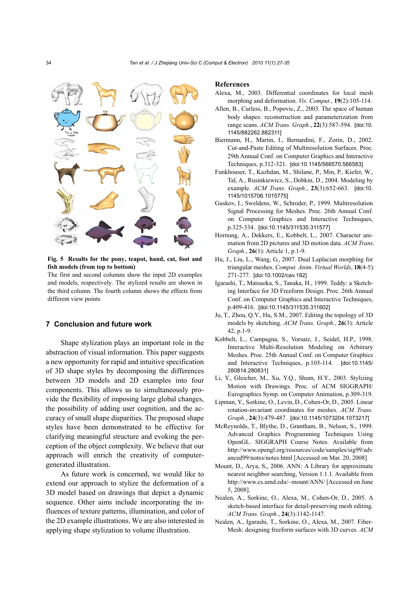

**Fig. 5 Results for the pony, teapot, hand, cat, foot and fish models (from top to bottom)** 

The first and second columns show the input 2D examples and models, respectively. The stylized results are shown in the third column. The fourth column shows the effects from different view points

#### **7 Conclusion and future work**

Shape stylization plays an important role in the abstraction of visual information. This paper suggests a new opportunity for rapid and intuitive specification of 3D shape styles by decomposing the differences between 3D models and 2D examples into four components. This allows us to simultaneously provide the flexibility of imposing large global changes, the possibility of adding user cognition, and the accuracy of small shape disparities. The proposed shape styles have been demonstrated to be effective for clarifying meaningful structure and evoking the perception of the object complexity. We believe that our approach will enrich the creativity of computergenerated illustration.

As future work is concerned, we would like to extend our approach to stylize the deformation of a 3D model based on drawings that depict a dynamic sequence. Other aims include incorporating the influences of texture patterns, illumination, and color of the 2D example illustrations. We are also interested in applying shape stylization to volume illustration.

#### **References**

- Alexa, M., 2003. Differential coordinates for local mesh morphing and deformation. *Vis. Comput.*, **19**(2):105-114.
- Allen, B., Curless, B., Popovic, Z., 2003. The space of human body shapes: reconstruction and parameterization from range scans. *ACM Trans. Graph.*, **22**(3):587-594. [doi:10. 1145/882262.882311]
- Biermann, H., Martin, I., Bernardini, F., Zorin, D., 2002. Cut-and-Paste Editing of Multiresolution Surfaces. Proc. 29th Annual Conf. on Computer Graphics and Interactive Techniques, p.312-321. [doi:10.1145/566570.566583]
- Funkhouser, T., Kazhdan, M., Shilane, P., Min, P., Kiefer, W., Tal, A., Rusinkiewicz, S., Dobkin, D., 2004. Modeling by example. *ACM Trans. Graph.*, **23**(3):652-663. [doi:10. 1145/1015706.1015775]
- Guskov, I., Sweldens, W., Schroder, P., 1999. Multiresolution Signal Processing for Meshes. Proc. 26th Annual Conf. on Computer Graphics and Interactive Techniques, p.325-334. [doi:10.1145/311535.311577]
- Hornung, A., Dekkers, E., Kobbelt, L., 2007. Character animation from 2D pictures and 3D motion data. *ACM Trans. Graph.*, **26**(1): Article 1, p.1-9.
- Hu, J., Liu, L., Wang, G., 2007. Dual Laplacian morphing for triangular meshes. *Comput. Anim. Virtual Worlds*, **18**(4-5): 271-277. [doi:10.1002/cav.182]
- Igarashi, T., Matsuoka, S., Tanaka, H., 1999. Teddy: a Sketching Interface for 3D Freeform Design. Proc. 26th Annual Conf. on Computer Graphics and Interactive Techniques, p.409-416. [doi:10.1145/311535.311602]
- Ju, T., Zhou, Q.Y., Hu, S.M., 2007. Editing the topology of 3D models by sketching. *ACM Trans. Graph.*, **26**(3): Article 42, p.1-9.
- Kobbelt, L., Campagna, S., Vorsatz, J., Seidel, H.P., 1998. Interactive Multi-Resolution Modeling on Arbitrary Meshes. Proc. 25th Annual Conf. on Computer Graphics and Interactive Techniques, p.105-114. [doi:10.1145/ 280814.280831]
- Li, Y., Gleicher, M., Xu, Y.Q., Shum, H.Y., 2003. Stylizing Motion with Drawings. Proc. of ACM SIGGRAPH/ Eurographics Symp. on Computer Animation, p.309-319.
- Lipman, Y., Sorkine, O., Levin, D., Cohen-Or, D., 2005. Linear rotation-invariant coordinates for meshes. *ACM Trans. Graph.*, **24**(3):479-487. [doi:10.1145/1073204.1073217]
- McReynolds, T., Blythe, D., Grantham, B., Nelson, S., 1999. Advanced Graphics Programming Techniques Using OpenGL. SIGGRAPH Course Notes. Available from http://www.opengl.org/resources/code/samples/sig99/adv anced99/notes/notes.html [Accessed on Mar. 20, 2008]
- Mount, D., Arya, S,, 2006. ANN: A Library for approximate nearest neighbor searching, Version 1.1.1. Available from http://www.cs.umd.edu/~mount/ANN/ [Accessed on June 5, 2008].
- Nealen, A., Sorkine, O., Alexa, M., Cohen-Or, D., 2005. A sketch-based interface for detail-preserving mesh editing. *ACM Trans. Graph.*, **24**(3):1142-1147.
- Nealen, A., Igarashi, T., Sorkine, O., Alexa, M., 2007. Fiber-Mesh: designing freeform surfaces with 3D curves. *ACM*